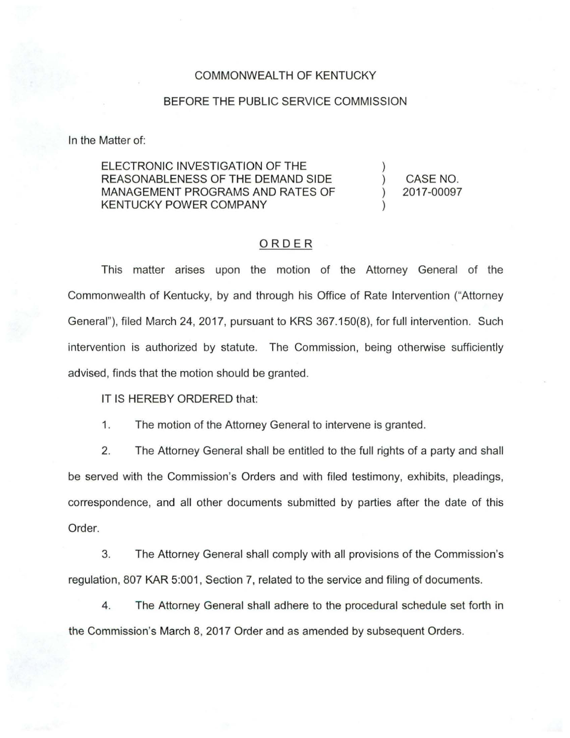## COMMONWEALTH OF KENTUCKY

## BEFORE THE PUBLIC SERVICE COMMISSION

In the Matter of:

ELECTRONIC INVESTIGATION OF THE REASONABLENESS OF THE DEMAND SIDE MANAGEMENT PROGRAMS AND RATES OF KENTUCKY POWER COMPANY

CASE NO. 2017-00097

## ORDER

This matter arises upon the motion of the Attorney General of the Commonwealth of Kentucky, by and through his Office of Rate Intervention ("Attorney General"), filed March 24, 2017, pursuant to KRS 367.150(8), for full intervention. Such intervention is authorized by statute. The Commission, being otherwise sufficiently advised, finds that the motion should be granted.

IT IS HEREBY ORDERED that:

1. The motion of the Attorney General to intervene is granted.

2. The Attorney General shall be entitled to the full rights of a party and shall be served with the Commission's Orders and with filed testimony, exhibits, pleadings, correspondence, and all other documents submitted by parties after the date of this Order.

3. The Attorney General shall comply with all provisions of the Commission's regulation, 807 KAR 5:001 , Section 7, related to the service and filing of documents.

4. The Attorney General shall adhere to the procedural schedule set forth in the Commission's March 8, 2017 Order and as amended by subsequent Orders.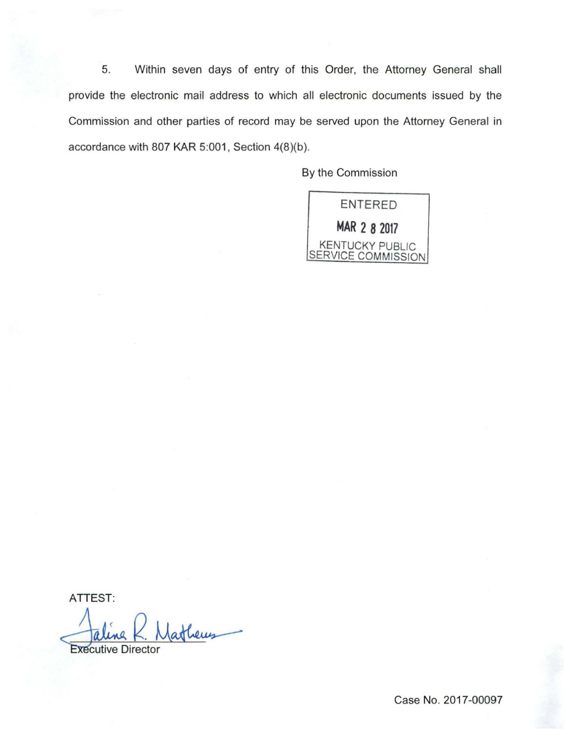5. Within seven days of entry of this Order, the Attorney General shall provide the electronic mail address to which all electronic documents issued by the Commission and other parties of record may be served upon the Attorney General in accordance with 807 KAR 5:001, Section 4(8)(b).

By the Commission



ATTEST:

**Executive Director** 

Case No. 2017-00097